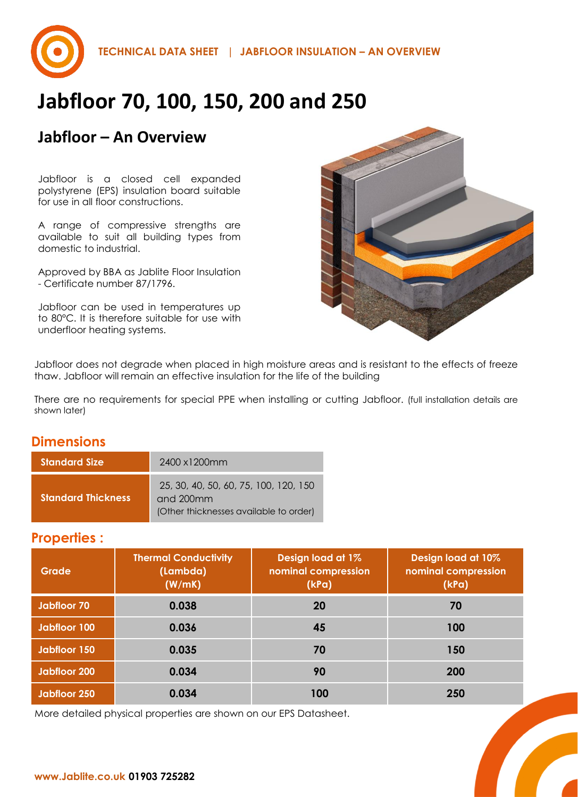

## **Jabfloor – An Overview**

Jabfloor is a closed cell expanded polystyrene (EPS) insulation board suitable for use in all floor constructions.

A range of compressive strengths are available to suit all building types from domestic to industrial.

Approved by BBA as Jablite Floor Insulation - Certificate number 87/1796.

Jabfloor can be used in temperatures up to 80°C. It is therefore suitable for use with underfloor heating systems.



Jabfloor does not degrade when placed in high moisture areas and is resistant to the effects of freeze thaw. Jabfloor will remain an effective insulation for the life of the building

There are no requirements for special PPE when installing or cutting Jabfloor. (full installation details are shown later)

### **Dimensions**

| <b>Standard Size</b>      | 2400 x1200mm                                                                                 |
|---------------------------|----------------------------------------------------------------------------------------------|
| <b>Standard Thickness</b> | 25, 30, 40, 50, 60, 75, 100, 120, 150<br>and 200mm<br>(Other thicknesses available to order) |

#### **Properties :**

| Grade        | <b>Thermal Conductivity</b><br>(Lambda)<br>(W/mK) | Design load at 1%<br>nominal compression<br>(kPa) | Design load at 10%<br>nominal compression<br>(kPa) |
|--------------|---------------------------------------------------|---------------------------------------------------|----------------------------------------------------|
| Jabfloor 70  | 0.038                                             | 20                                                | 70                                                 |
| Jabfloor 100 | 0.036                                             | 45                                                | 100                                                |
| Jabfloor 150 | 0.035                                             | 70                                                | 150                                                |
| Jabfloor 200 | 0.034                                             | 90                                                | <b>200</b>                                         |
| Jabfloor 250 | 0.034                                             | 100                                               | 250                                                |

More detailed physical properties are shown on our EPS Datasheet.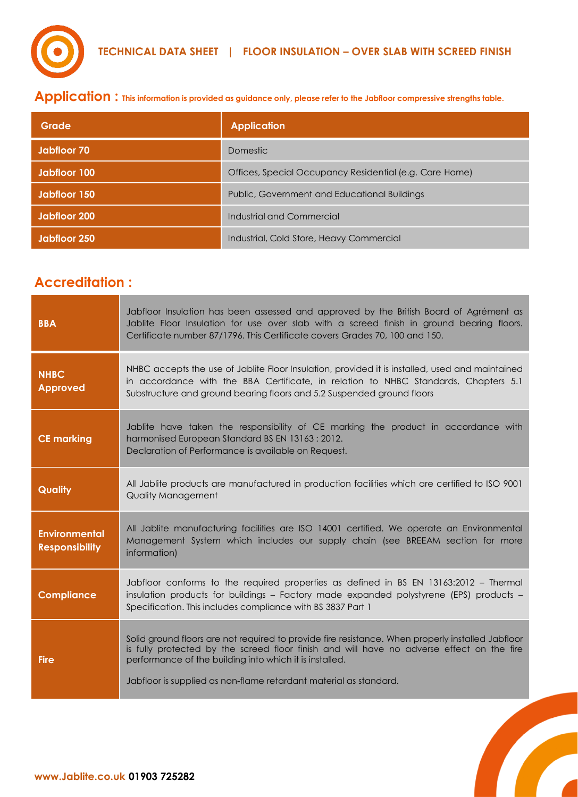

**Application : This information is provided as guidance only, please refer to the Jabfloor compressive strengths table.** 

| Grade               | <b>Application</b>                                      |
|---------------------|---------------------------------------------------------|
| Jabfloor 70         | Domestic                                                |
| <b>Jabfloor 100</b> | Offices, Special Occupancy Residential (e.g. Care Home) |
| Jabiloor 150        | Public, Government and Educational Buildings            |
| <b>Jabiloor 200</b> | Industrial and Commercial                               |
| Jabiloor 250        | Industrial, Cold Store, Heavy Commercial                |

## **Accreditation :**

| <b>BBA</b>                                    | Jabfloor Insulation has been assessed and approved by the British Board of Agrément as<br>Jablite Floor Insulation for use over slab with a screed finish in ground bearing floors.<br>Certificate number 87/1796. This Certificate covers Grades 70, 100 and 150.                                                             |
|-----------------------------------------------|--------------------------------------------------------------------------------------------------------------------------------------------------------------------------------------------------------------------------------------------------------------------------------------------------------------------------------|
| <b>NHBC</b><br><b>Approved</b>                | NHBC accepts the use of Jablite Floor Insulation, provided it is installed, used and maintained<br>in accordance with the BBA Certificate, in relation to NHBC Standards, Chapters 5.1<br>Substructure and ground bearing floors and 5.2 Suspended ground floors                                                               |
| <b>CE marking</b>                             | Jablite have taken the responsibility of CE marking the product in accordance with<br>harmonised European Standard BS EN 13163: 2012.<br>Declaration of Performance is available on Request.                                                                                                                                   |
| Quality                                       | All Jablite products are manufactured in production facilities which are certified to ISO 9001<br><b>Quality Management</b>                                                                                                                                                                                                    |
| <b>Environmental</b><br><b>Responsibility</b> | All Jablite manufacturing facilities are ISO 14001 certified. We operate an Environmental<br>Management System which includes our supply chain (see BREEAM section for more<br>information)                                                                                                                                    |
| <b>Compliance</b>                             | Jabfloor conforms to the required properties as defined in BS EN 13163:2012 – Thermal<br>insulation products for buildings - Factory made expanded polystyrene (EPS) products -<br>Specification. This includes compliance with BS 3837 Part 1                                                                                 |
| <b>Fire</b>                                   | Solid ground floors are not required to provide fire resistance. When properly installed Jabfloor<br>is fully protected by the screed floor finish and will have no adverse effect on the fire<br>performance of the building into which it is installed.<br>Jabfloor is supplied as non-flame retardant material as standard. |